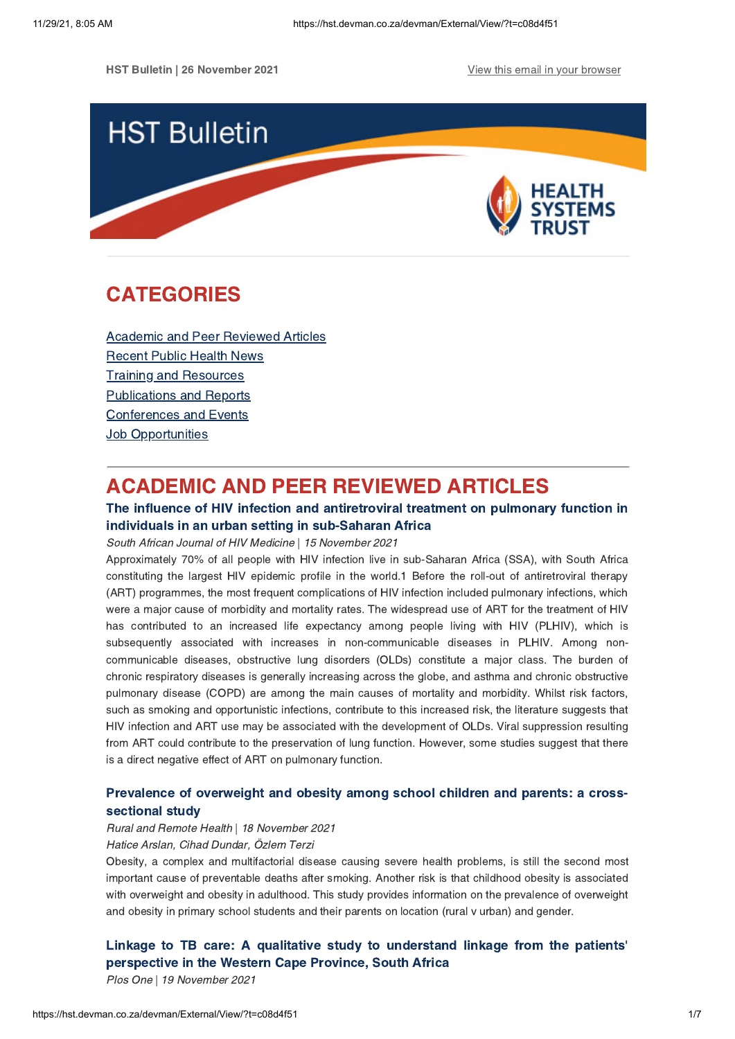**HST Bulletin | 26 November 2021 View this email in your [browser](https://hst.devman.co.za/devman/external/?t=194a9a17&t1=c08d4f51)** 



# <span id="page-0-1"></span>CATEGORIES

Academic and Peer [Reviewed](#page-0-0) Articles [Recent](#page-1-0) Public Health News Training and Resources [Publications](#page-4-0) and Reports [Conferences](#page-5-0) and Events **Job [Opportunities](#page-5-1)** 

## <span id="page-0-0"></span>ACADEMIC AND PEER REVIEWED ARTICLES

## The influence of HIV infection and [antiretroviral](https://hst.devman.co.za/devman/external/?t=97dcad58) treatment on pulmonary function in individuals in an urban setting in sub-Saharan Africa

South African Journal of HIV Medicine | 15 November 2021

Approximately 70% of all people with HIV infection live in sub-Saharan Africa (SSA), with South Africa constituting the largest HIV epidemic profile in the world.1 Before the roll-out of antiretroviral therapy (ART) programmes, the most frequent complications of HIV infection included pulmonary infections, which were a major cause of morbidity and mortality rates. The widespread use of ART for the treatment of HIV has contributed to an increased life expectancy among people living with HIV (PLHIV), which is subsequently associated with increases in non-communicable diseases in PLHIV. Among noncommunicable diseases, obstructive lung disorders (OLDs) constitute a major class. The burden of chronic respiratory diseases is generally increasing across the globe, and asthma and chronic obstructive pulmonary disease (COPD) are among the main causes of mortality and morbidity. Whilst risk factors, such as smoking and opportunistic infections, contribute to this increased risk, the literature suggests that HIV infection and ART use may be associated with the development of OLDs. Viral suppression resulting from ART could contribute to the preservation of lung function. However, some studies suggest that there is a direct negative effect of ART on pulmonary function.

## Prevalence of [overweight](https://hst.devman.co.za/devman/external/?t=c85d3095) and obesity among school children and parents: a crosssectional study

Rural and Remote Health | 18 November 2021

## Hatice Arslan, Cihad Dundar, Özlem Terzi

Obesity, a complex and multifactorial disease causing severe health problems, is still the second most important cause of preventable deaths after smoking. Another risk is that childhood obesity is associated with overweight and obesity in adulthood. This study provides information on the prevalence of overweight and obesity in primary school students and their parents on location (rural v urban) and gender.

Linkage to TB care: A qualitative study to [understand](https://hst.devman.co.za/devman/external/?t=ddecc5d6) linkage from the patients' perspective in the Western Cape Province, South Africa

Plos One | 19 November 2021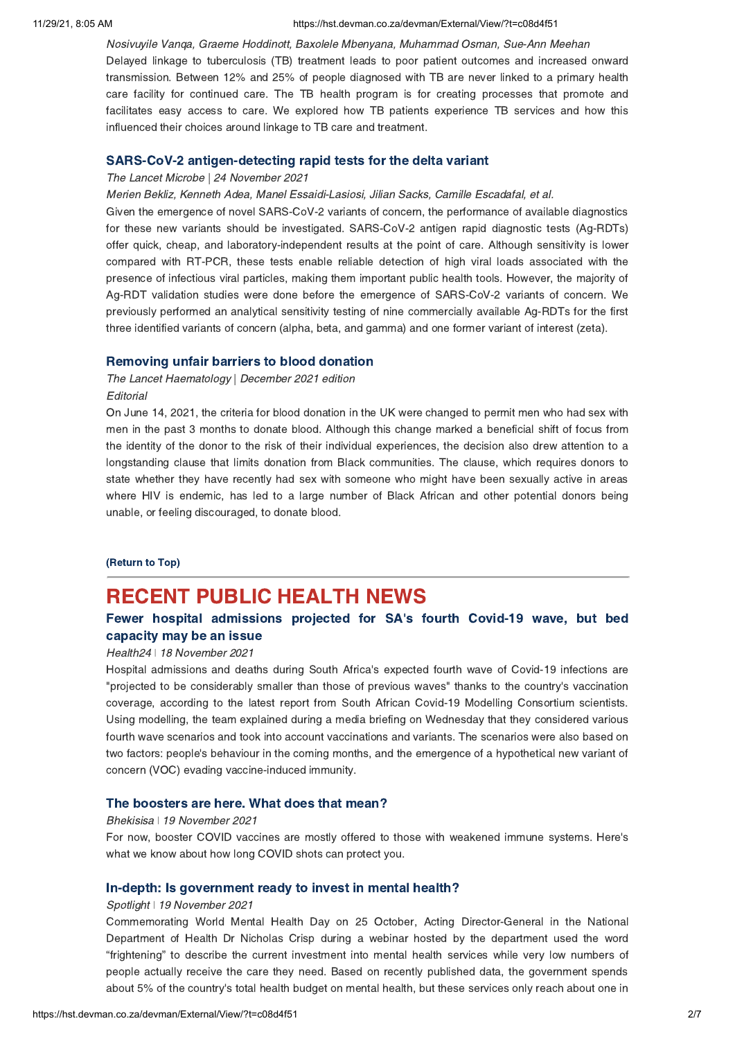#### 11/29/21, 8:05 AM https://hst.devman.co.za/devman/External/View/?t=c08d4f51

Nosivuyile Vanqa, Graeme Hoddinott, Baxolele Mbenyana, Muhammad Osman, Sue-Ann Meehan Delayed linkage to tuberculosis (TB) treatment leads to poor patient outcomes and increased onward transmission. Between 12% and 25% of people diagnosed with TB are never linked to a primary health care facility for continued care. The TB health program is for creating processes that promote and facilitates easy access to care. We explored how TB patients experience TB services and how this influenced their choices around linkage to TB care and treatment.

#### SARS-CoV-2 [antigen-detecting](https://hst.devman.co.za/devman/external/?t=461b0823) rapid tests for the delta variant

#### The Lancet Microbe | 24 November 2021

Merien Bekliz, Kenneth Adea, Manel Essaidi-Lasiosi, Jilian Sacks, Camille Escadafal, et al.

Given the emergence of novel SARS-CoV-2 variants of concern, the performance of available diagnostics for these new variants should be investigated. SARS-CoV-2 antigen rapid diagnostic tests (Ag-RDTs) offer quick, cheap, and laboratory-independent results at the point of care. Although sensitivity is lower compared with RT-PCR, these tests enable reliable detection of high viral loads associated with the presence of infectious viral particles, making them important public health tools. However, the majority of Ag-RDT validation studies were done before the emergence of SARS-CoV-2 variants of concern. We previously performed an analytical sensitivity testing of nine commercially available Ag-RDTs for the first three identified variants of concern (alpha, beta, and gamma) and one former variant of interest (zeta).

#### [Removing](https://hst.devman.co.za/devman/external/?t=c4ad1b64) unfair barriers to blood donation

The Lancet Haematology | December 2021 edition **Editorial** 

On June 14, 2021, the criteria for blood donation in the UK were changed to permit men who had sex with men in the past 3 months to donate blood. Although this change marked a beneficial shift of focus from the identity of the donor to the risk of their individual experiences, the decision also drew attention to a longstanding clause that limits donation from Black communities. The clause, which requires donors to state whether they have recently had sex with someone who might have been sexually active in areas where HIV is endemic, has led to a large number of Black African and other potential donors being unable, or feeling discouraged, to donate blood.

#### [\(Return](#page-0-1) to Top)

## <span id="page-1-0"></span>RECENT PUBLIC HEALTH NEWS

## Fewer hospital [admissions](https://hst.devman.co.za/devman/external/?t=f25be516) projected for SA's fourth Covid-19 wave, but bed capacity may be an issue

#### Health24 | 18 November 2021

Hospital admissions and deaths during South Africa's expected fourth wave of Covid-19 infections are "projected to be considerably smaller than those of previous waves" thanks to the country's vaccination coverage, according to the latest report from South African Covid-19 Modelling Consortium scientists. Using modelling, the team explained during a media briefing on Wednesday that they considered various fourth wave scenarios and took into account vaccinations and variants. The scenarios were also based on two factors: people's behaviour in the coming months, and the emergence of a hypothetical new variant of concern (VOC) evading vaccine-induced immunity.

## The [boosters](https://hst.devman.co.za/devman/external/?t=70edf857) are here. What does that mean?

#### Bhekisisa ǀ 19 November 2021

For now, booster COVID vaccines are mostly offered to those with weakened immune systems. Here's what we know about how long COVID shots can protect you.

#### In-depth: Is [government](https://hst.devman.co.za/devman/external/?t=a16e7b94) ready to invest in mental health?

#### Spotlight | 19 November 2021

Commemorating World Mental Health Day on 25 October, Acting Director-General in the National Department of Health Dr Nicholas Crisp during a webinar hosted by the department used the word "frightening" to describe the current investment into mental health services while very low numbers of people actually receive the care they need. Based on recently published data, the government spends about 5% of the country's total health budget on mental health, but these services only reach about one in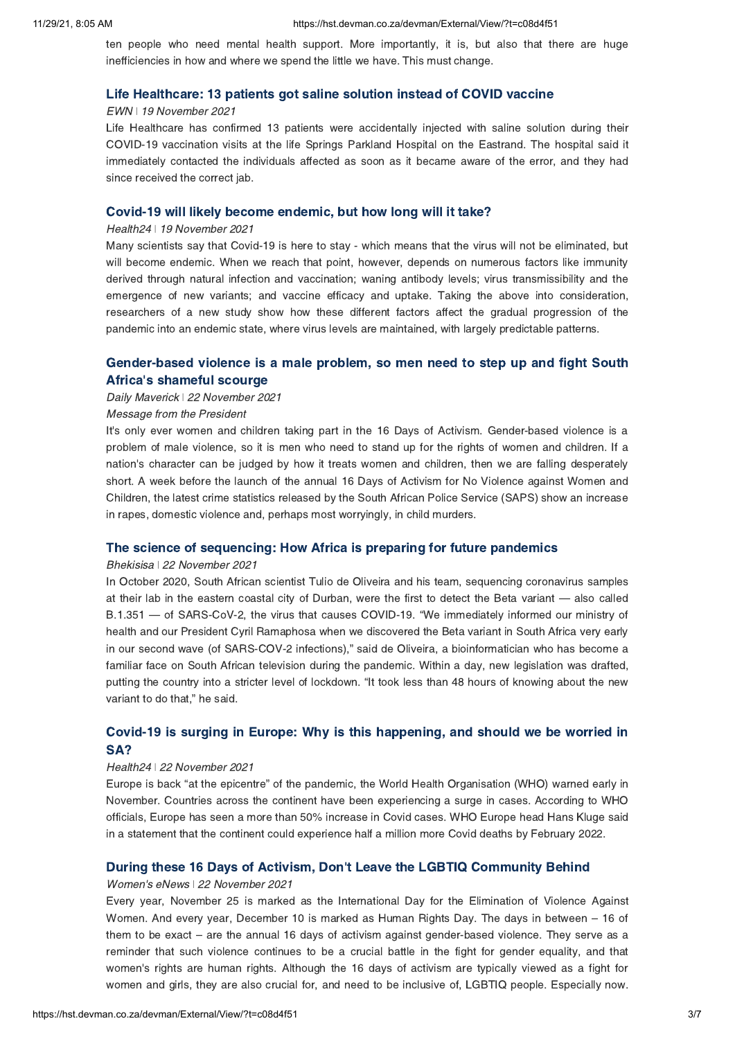ten people who need mental health support. More importantly, it is, but also that there are huge inefficiencies in how and where we spend the little we have. This must change.

#### Life [Healthcare:](https://hst.devman.co.za/devman/external/?t=b6fe10d5) 13 patients got saline solution instead of COVID vaccine

#### EWN ǀ 19 November 2021

Life Healthcare has confirmed 13 patients were accidentally injected with saline solution during their COVID-19 vaccination visits at the life Springs Parkland Hospital on the Eastrand. The hospital said it immediately contacted the individuals affected as soon as it became aware of the error, and they had since received the correct jab.

#### Covid-19 will likely become [endemic,](https://hst.devman.co.za/devman/external/?t=b3509512) but how long will it take?

#### Health24 | 19 November 2021

Many scientists say that Covid-19 is here to stay - which means that the virus will not be eliminated, but will become endemic. When we reach that point, however, depends on numerous factors like immunity derived through natural infection and vaccination; waning antibody levels; virus transmissibility and the emergence of new variants; and vaccine efficacy and uptake. Taking the above into consideration, researchers of a new study show how these different factors affect the gradual progression of the pandemic into an endemic state, where virus levels are maintained, with largely predictable patterns.

## [Gender-based](https://hst.devman.co.za/devman/external/?t=31e2a853) violence is a male problem, so men need to step up and fight South Africa's shameful scourge

#### Daily Maverick ǀ 22 November 2021

#### Message from the President

It's only ever women and children taking part in the 16 Days of Activism. Gender-based violence is a problem of male violence, so it is men who need to stand up for the rights of women and children. If a nation's character can be judged by how it treats women and children, then we are falling desperately short. A week before the launch of the annual 16 Days of Activism for No Violence against Women and Children, the latest crime statistics released by the South African Police Service (SAPS) show an increase in rapes, domestic violence and, perhaps most worryingly, in child murders.

#### The science of [sequencing:](https://hst.devman.co.za/devman/external/?t=62632b90) How Africa is preparing for future pandemics

#### Bhekisisa ǀ 22 November 2021

In October 2020, South African scientist Tulio de Oliveira and his team, sequencing coronavirus samples at their lab in the eastern coastal city of Durban, were the first to detect the Beta variant — also called B.1.351 — of SARS-CoV-2, the virus that causes COVID-19. "We immediately informed our ministry of health and our President Cyril Ramaphosa when we discovered the Beta variant in South Africa very early in our second wave (of SARS-COV-2 infections)," said de Oliveira, a bioinformatician who has become a familiar face on South African television during the pandemic. Within a day, new legislation was drafted, putting the country into a stricter level of lockdown. "It took less than 48 hours of knowing about the new variant to do that," he said.

## Covid-19 is surging in Europe: Why is this [happening,](https://hst.devman.co.za/devman/external/?t=77f2c0d1) and should we be worried in SA?

#### Health24 ǀ 22 November 2021

Europe is back "at the epicentre" of the pandemic, the World Health Organisation (WHO) warned early in November. Countries across the continent have been experiencing a surge in cases. According to WHO officials, Europe has seen a more than 50% increase in Covid cases. WHO Europe head Hans Kluge said in a statement that the continent could experience half a million more Covid deaths by February 2022.

#### During these 16 Days of Activism, Don't Leave the LGBTIQ [Community](https://hst.devman.co.za/devman/external/?t=e021031e) Behind

#### Women's eNews ǀ 22 November 2021

Every year, November 25 is marked as the International Day for the Elimination of Violence Against Women. And every year, December 10 is marked as Human Rights Day. The days in between – 16 of them to be exact – are the annual 16 days of activism against gender-based violence. They serve as a reminder that such violence continues to be a crucial battle in the fight for gender equality, and that women's rights are human rights. Although the 16 days of activism are typically viewed as a fight for women and girls, they are also crucial for, and need to be inclusive of, LGBTIQ people. Especially now.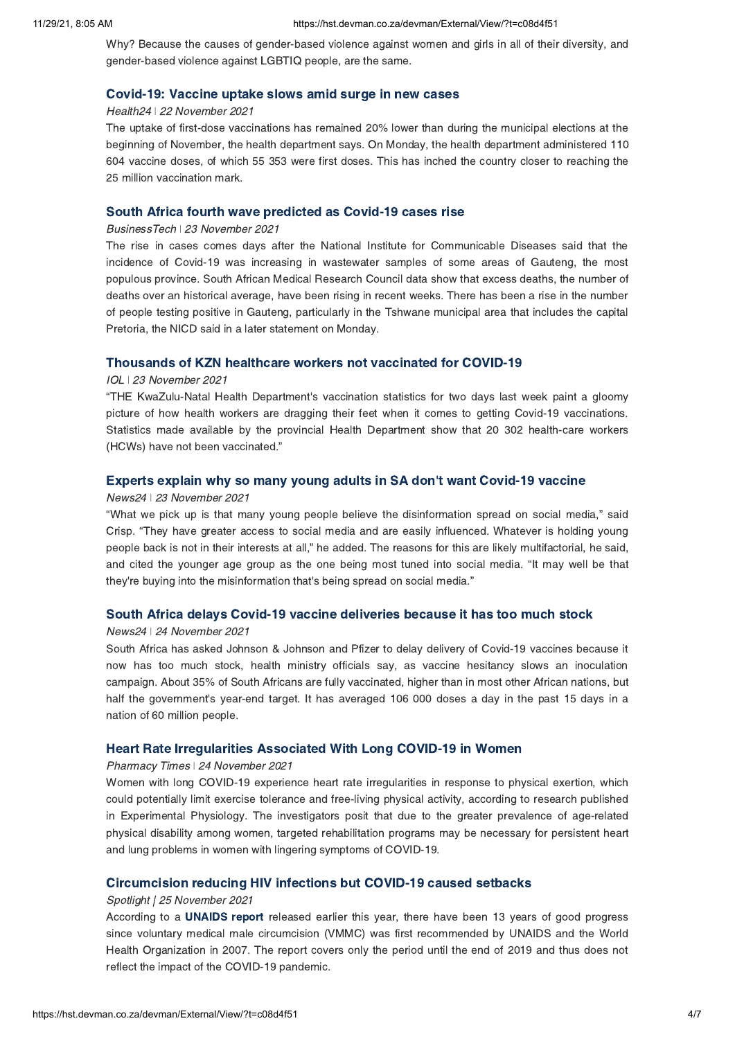Why? Because the causes of gender-based violence against women and girls in all of their diversity, and gender-based violence against LGBTIQ people, are the same.

#### [Covid-19:](https://hst.devman.co.za/devman/external/?t=5eb3165f) Vaccine uptake slows amid surge in new cases

#### Health24 ǀ 22 November 2021

The uptake of first-dose vaccinations has remained 20% lower than during the municipal elections at the beginning of November, the health department says. On Monday, the health department administered 110 604 vaccine doses, of which 55 353 were first doses. This has inched the country closer to reaching the 25 million vaccination mark.

## South Africa fourth wave [predicted](https://hst.devman.co.za/devman/external/?t=b47abc25) as Covid-19 cases rise

#### BusinessTech ǀ 23 November 2021

The rise in cases comes days after the National Institute for Communicable Diseases said that the incidence of Covid-19 was increasing in wastewater samples of some areas of Gauteng, the most populous province. South African Medical Research Council data show that excess deaths, the number of deaths over an historical average, have been rising in recent weeks. There has been a rise in the number of people testing positive in Gauteng, particularly in the Tshwane municipal area that includes the capital Pretoria, the NICD said in a later statement on Monday.

#### [Thousands](https://hst.devman.co.za/devman/external/?t=330ccf66) of KZN healthcare workers not vaccinated for COVID-19

#### IOL ǀ 23 November 2021

"THE KwaZulu-Natal Health Department's vaccination statistics for two days last week paint a gloomy picture of how health workers are dragging their feet when it comes to getting Covid-19 vaccinations. Statistics made available by the provincial Health Department show that 20 302 health-care workers (HCWs) have not been vaccinated."

## Experts explain why so many young adults in SA don't want [Covid-19](https://hst.devman.co.za/devman/external/?t=638d52a3) vaccine

#### News24 ǀ 23 November 2021

"What we pick up is that many young people believe the disinformation spread on social media," said Crisp. "They have greater access to social media and are easily influenced. Whatever is holding young people back is not in their interests at all," he added. The reasons for this are likely multifactorial, he said, and cited the younger age group as the one being most tuned into social media. "It may well be that they're buying into the misinformation that's being spread on social media."

## South Africa delays Covid-19 vaccine [deliveries](https://hst.devman.co.za/devman/external/?t=791ce7e4) because it has too much stock

#### News24 ǀ 24 November 2021

South Africa has asked Johnson & Johnson and Pfizer to delay delivery of Covid-19 vaccines because it now has too much stock, health ministry officials say, as vaccine hesitancy slows an inoculation campaign. About 35% of South Africans are fully vaccinated, higher than in most other African nations, but half the government's year-end target. It has averaged 106 000 doses a day in the past 15 days in a nation of 60 million people.

## Heart Rate [Irregularities](https://hst.devman.co.za/devman/external/?t=756f6c21) Associated With Long COVID-19 in Women

#### Pharmacy Times ǀ 24 November 2021

Women with long COVID-19 experience heart rate irregularities in response to physical exertion, which could potentially limit exercise tolerance and free-living physical activity, according to research published in Experimental Physiology. The investigators posit that due to the greater prevalence of age-related physical disability among women, targeted rehabilitation programs may be necessary for persistent heart and lung problems in women with lingering symptoms of COVID-19.

## [Circumcision](https://hst.devman.co.za/devman/external/?t=f4017f62) reducing HIV infections but COVID-19 caused setbacks

#### Spotlight | 25 November 2021

According to a [UNAIDS](https://hst.devman.co.za/devman/external/?t=2482029f) report released earlier this year, there have been 13 years of good progress since voluntary medical male circumcision (VMMC) was first recommended by UNAIDS and the World Health Organization in 2007. The report covers only the period until the end of 2019 and thus does not reflect the impact of the COVID-19 pandemic.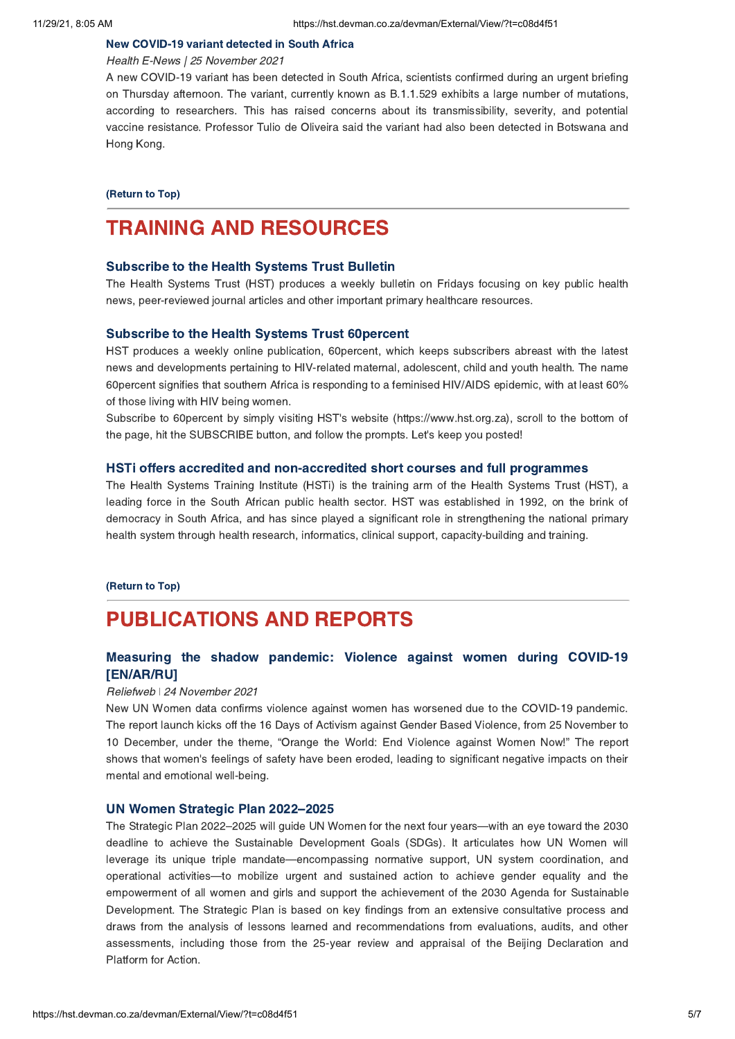#### New [COVID-19](https://hst.devman.co.za/devman/external/?t=3a1197e0) variant detected in South Africa

#### Health E-News | 25 November 2021

A new COVID-19 variant has been detected in South Africa, scientists confirmed during an urgent briefing on Thursday afternoon. The variant, currently known as B.1.1.529 exhibits a large number of mutations, according to researchers. This has raised concerns about its transmissibility, severity, and potential vaccine resistance. Professor Tulio de Oliveira said the variant had also been detected in Botswana and Hong Kong.

[\(Return](#page-0-1) to Top)

## <span id="page-4-0"></span>TRAINING AND RESOURCES

#### [Subscribe](https://hst.devman.co.za/devman/external/?t=a23fda2d) to the Health Systems Trust Bulletin

The Health Systems Trust (HST) produces a weekly bulletin on Fridays focusing on key public health news, peer-reviewed journal articles and other important primary healthcare resources.

#### [Subscribe](https://hst.devman.co.za/devman/external/?t=a23fda2d) to the Health Systems Trust 60percent

HST produces a weekly online publication, 60percent, which keeps subscribers abreast with the latest news and developments pertaining to HIV-related maternal, adolescent, child and youth health. The name 60percent signifies that southern Africa is responding to a feminised HIV/AIDS epidemic, with at least 60% of those living with HIV being women.

Subscribe to 60percent by simply visiting HST's website (https://www.hst.org.za), scroll to the bottom of the page, hit the SUBSCRIBE button, and follow the prompts. Let's keep you posted!

#### HSTi offers accredited and [non-accredited](https://hst.devman.co.za/devman/external/?t=20d1ed6e) short courses and full programmes

The Health Systems Training Institute (HSTi) is the training arm of the Health Systems Trust (HST), a leading force in the South African public health sector. HST was established in 1992, on the brink of democracy in South Africa, and has since played a significant role in strengthening the national primary health system through health research, informatics, clinical support, capacity-building and training.

#### [\(Return](#page-0-1) to Top)

## PUBLICATIONS AND REPORTS

## Measuring the shadow pandemic: Violence against women during COVID-19 [\[EN/AR/RU\]](https://hst.devman.co.za/devman/external/?t=1d7c4820)

#### Reliefweb ǀ 24 November 2021

New UN Women data confirms violence against women has worsened due to the COVID-19 pandemic. The report launch kicks off the 16 Days of Activism against Gender Based Violence, from 25 November to 10 December, under the theme, "Orange the World: End Violence against Women Now!" The report shows that women's feelings of safety have been eroded, leading to significant negative impacts on their mental and emotional well-being.

#### UN Women Strategic Plan [2022–2025](https://hst.devman.co.za/devman/external/?t=9c0e5b61)

The Strategic Plan 2022–2025 will guide UN Women for the next four years—with an eye toward the 2030 deadline to achieve the Sustainable Development Goals (SDGs). It articulates how UN Women will leverage its unique triple mandate—encompassing normative support, UN system coordination, and operational activities—to mobilize urgent and sustained action to achieve gender equality and the empowerment of all women and girls and support the achievement of the 2030 Agenda for Sustainable Development. The Strategic Plan is based on key findings from an extensive consultative process and draws from the analysis of lessons learned and recommendations from evaluations, audits, and other assessments, including those from the 25-year review and appraisal of the Beijing Declaration and Platform for Action.